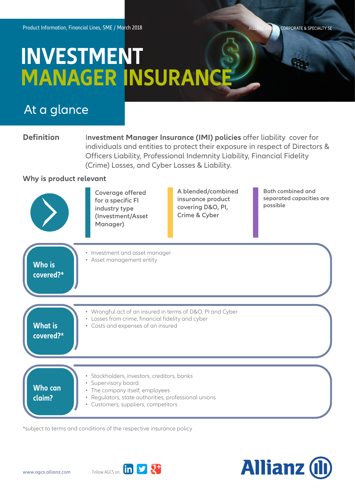CORPORATE & SPECIALTY SE

## **INVESTMENT MANAGER INSURANCE**

## At a glance

**Definition** Investment Manager Insurance (IMI) policies offer liability cover for individuals and entities to protect their exposure in respect of Directors & Officers Liability, Professional Indemnity Liability, Financial Fidelity (Crime) Losses, and Cyber Losses & Liability.

## **Why is product relevant**



\*subject to terms and conditions of the respective insurance policy